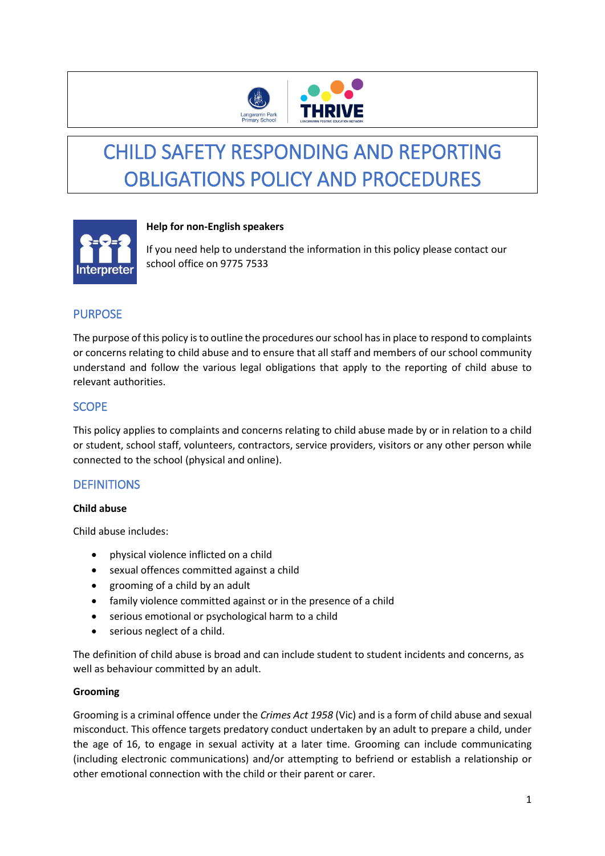

# CHILD SAFETY RESPONDING AND REPORTING OBLIGATIONS POLICY AND PROCEDURES



### **Help for non-English speakers**

If you need help to understand the information in this policy please contact our school office on 9775 7533

## PURPOSE

The purpose of this policy is to outline the procedures our school has in place to respond to complaints or concerns relating to child abuse and to ensure that all staff and members of our school community understand and follow the various legal obligations that apply to the reporting of child abuse to relevant authorities.

### **SCOPE**

This policy applies to complaints and concerns relating to child abuse made by or in relation to a child or student, school staff, volunteers, contractors, service providers, visitors or any other person while connected to the school (physical and online).

# **DEFINITIONS**

### **Child abuse**

Child abuse includes:

- physical violence inflicted on a child
- sexual offences committed against a child
- grooming of a child by an adult
- family violence committed against or in the presence of a child
- serious emotional or psychological harm to a child
- serious neglect of a child.

The definition of child abuse is broad and can include student to student incidents and concerns, as well as behaviour committed by an adult.

### **Grooming**

Grooming is a criminal offence under the *Crimes Act 1958* (Vic) and is a form of child abuse and sexual misconduct. This offence targets predatory conduct undertaken by an adult to prepare a child, under the age of 16, to engage in sexual activity at a later time. Grooming can include communicating (including electronic communications) and/or attempting to befriend or establish a relationship or other emotional connection with the child or their parent or carer.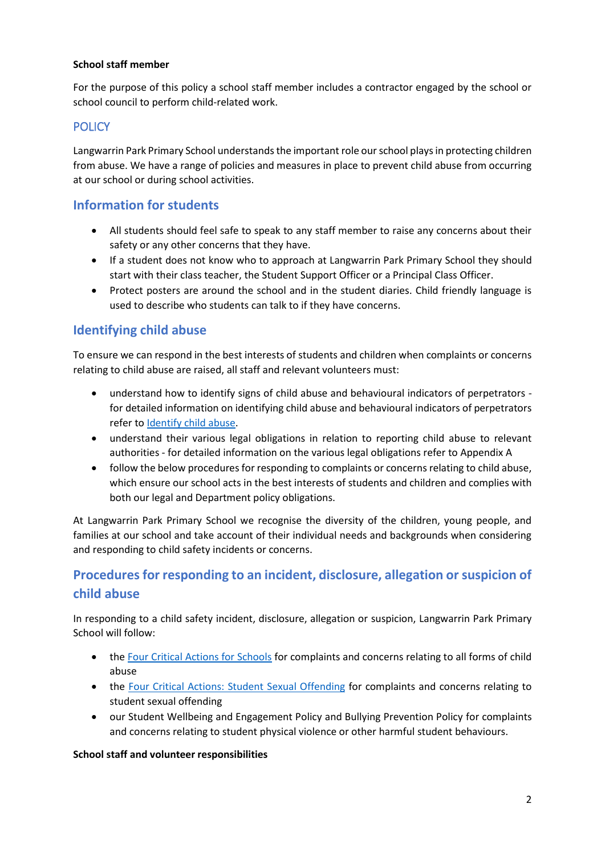### **School staff member**

For the purpose of this policy a school staff member includes a contractor engaged by the school or school council to perform child-related work.

## **POLICY**

Langwarrin Park Primary School understands the important role our school plays in protecting children from abuse. We have a range of policies and measures in place to prevent child abuse from occurring at our school or during school activities.

# **Information for students**

- All students should feel safe to speak to any staff member to raise any concerns about their safety or any other concerns that they have.
- If a student does not know who to approach at Langwarrin Park Primary School they should start with their class teacher, the Student Support Officer or a Principal Class Officer.
- Protect posters are around the school and in the student diaries. Child friendly language is used to describe who students can talk to if they have concerns.

# **Identifying child abuse**

To ensure we can respond in the best interests of students and children when complaints or concerns relating to child abuse are raised, all staff and relevant volunteers must:

- understand how to identify signs of child abuse and behavioural indicators of perpetrators for detailed information on identifying child abuse and behavioural indicators of perpetrators refer to [Identify child abuse.](https://www.education.vic.gov.au/school/teachers/health/childprotection/Pages/identify.aspx)
- understand their various legal obligations in relation to reporting child abuse to relevant authorities - for detailed information on the various legal obligations refer to Appendix A
- follow the below procedures for responding to complaints or concerns relating to child abuse, which ensure our school acts in the best interests of students and children and complies with both our legal and Department policy obligations.

At Langwarrin Park Primary School we recognise the diversity of the children, young people, and families at our school and take account of their individual needs and backgrounds when considering and responding to child safety incidents or concerns.

# **Procedures for responding to an incident, disclosure, allegation or suspicion of child abuse**

In responding to a child safety incident, disclosure, allegation or suspicion, Langwarrin Park Primary School will follow:

- th[e Four Critical Actions for Schools](https://www.education.vic.gov.au/Documents/about/programs/health/protect/FourCriticalActions_ChildAbuse.pdf) for complaints and concerns relating to all forms of child abuse
- the [Four Critical Actions: Student Sexual Offending](https://www.education.vic.gov.au/school/teachers/health/childprotection/Pages/stusexual.aspx) for complaints and concerns relating to student sexual offending
- our Student Wellbeing and Engagement Policy and Bullying Prevention Policy for complaints and concerns relating to student physical violence or other harmful student behaviours.

#### **School staff and volunteer responsibilities**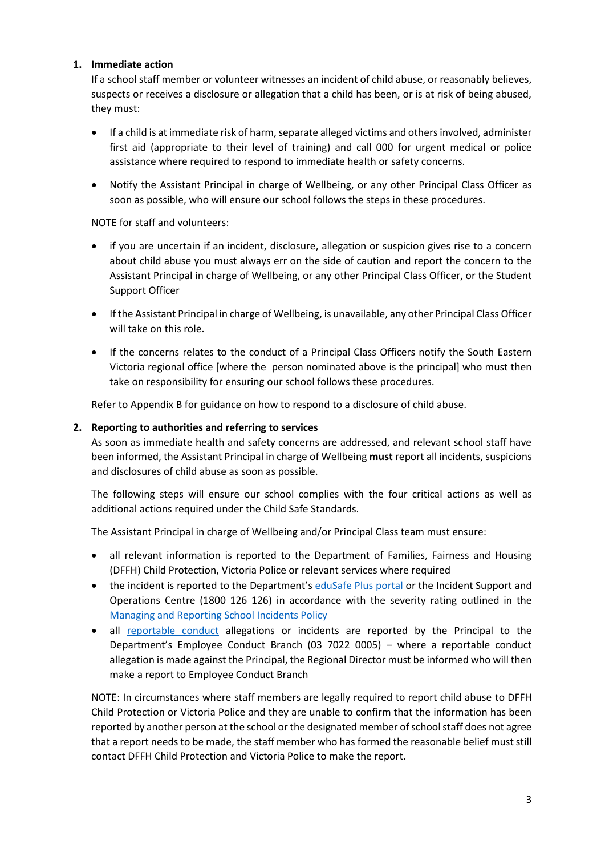### **1. Immediate action**

If a school staff member or volunteer witnesses an incident of child abuse, or reasonably believes, suspects or receives a disclosure or allegation that a child has been, or is at risk of being abused, they must:

- If a child is at immediate risk of harm, separate alleged victims and others involved, administer first aid (appropriate to their level of training) and call 000 for urgent medical or police assistance where required to respond to immediate health or safety concerns.
- Notify the Assistant Principal in charge of Wellbeing, or any other Principal Class Officer as soon as possible, who will ensure our school follows the steps in these procedures.

NOTE for staff and volunteers:

- if you are uncertain if an incident, disclosure, allegation or suspicion gives rise to a concern about child abuse you must always err on the side of caution and report the concern to the Assistant Principal in charge of Wellbeing, or any other Principal Class Officer, or the Student Support Officer
- If the Assistant Principal in charge of Wellbeing, is unavailable, any other Principal Class Officer will take on this role.
- If the concerns relates to the conduct of a Principal Class Officers notify the South Eastern Victoria regional office [where the person nominated above is the principal] who must then take on responsibility for ensuring our school follows these procedures.

Refer to Appendix B for guidance on how to respond to a disclosure of child abuse.

### **2. Reporting to authorities and referring to services**

As soon as immediate health and safety concerns are addressed, and relevant school staff have been informed, the Assistant Principal in charge of Wellbeing **must** report all incidents, suspicions and disclosures of child abuse as soon as possible.

The following steps will ensure our school complies with the four critical actions as well as additional actions required under the Child Safe Standards.

The Assistant Principal in charge of Wellbeing and/or Principal Class team must ensure:

- all relevant information is reported to the Department of Families, Fairness and Housing (DFFH) Child Protection, Victoria Police or relevant services where required
- the incident is reported to the Department's [eduSafe Plus portal](https://services.educationapps.vic.gov.au/edusafeplus) or the Incident Support and Operations Centre (1800 126 126) in accordance with the severity rating outlined in the [Managing and Reporting School Incidents Policy](https://www2.education.vic.gov.au/pal/reporting-and-managing-school-incidents-including-emergencies/policy)
- all [reportable conduct](https://www2.education.vic.gov.au/pal/reportable-conduct-scheme/policy) allegations or incidents are reported by the Principal to the Department's Employee Conduct Branch (03 7022 0005) – where a reportable conduct allegation is made against the Principal, the Regional Director must be informed who will then make a report to Employee Conduct Branch

NOTE: In circumstances where staff members are legally required to report child abuse to DFFH Child Protection or Victoria Police and they are unable to confirm that the information has been reported by another person at the school or the designated member of school staff does not agree that a report needs to be made, the staff member who has formed the reasonable belief must still contact DFFH Child Protection and Victoria Police to make the report.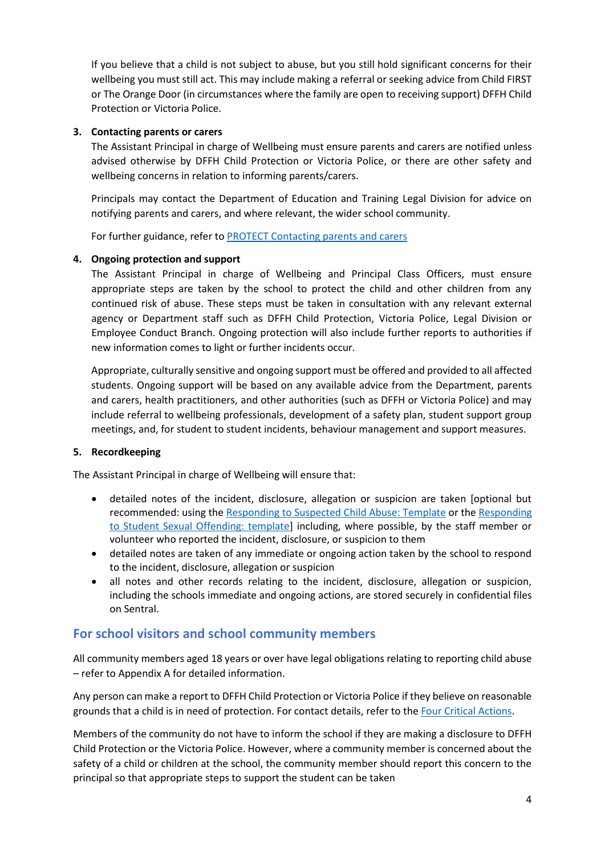If you believe that a child is not subject to abuse, but you still hold significant concerns for their wellbeing you must still act. This may include making a referral or seeking advice from Child FIRST or The Orange Door (in circumstances where the family are open to receiving support) DFFH Child Protection or Victoria Police.

### **3. Contacting parents or carers**

The Assistant Principal in charge of Wellbeing must ensure parents and carers are notified unless advised otherwise by DFFH Child Protection or Victoria Police, or there are other safety and wellbeing concerns in relation to informing parents/carers.

Principals may contact the Department of Education and Training Legal Division for advice on notifying parents and carers, and where relevant, the wider school community.

For further guidance, refer to [PROTECT Contacting parents and carers](https://www.education.vic.gov.au/school/teachers/health/childprotection/Pages/actionthree.aspx)

### **4. Ongoing protection and support**

The Assistant Principal in charge of Wellbeing and Principal Class Officers, must ensure appropriate steps are taken by the school to protect the child and other children from any continued risk of abuse. These steps must be taken in consultation with any relevant external agency or Department staff such as DFFH Child Protection, Victoria Police, Legal Division or Employee Conduct Branch. Ongoing protection will also include further reports to authorities if new information comes to light or further incidents occur.

Appropriate, culturally sensitive and ongoing support must be offered and provided to all affected students. Ongoing support will be based on any available advice from the Department, parents and carers, health practitioners, and other authorities (such as DFFH or Victoria Police) and may include referral to wellbeing professionals, development of a safety plan, student support group meetings, and, for student to student incidents, behaviour management and support measures.

#### **5. Recordkeeping**

The Assistant Principal in charge of Wellbeing will ensure that:

- detailed notes of the incident, disclosure, allegation or suspicion are taken [optional but recommended: using th[e Responding to Suspected Child Abuse: Template](https://www.education.vic.gov.au/Documents/about/programs/health/protect/PROTECT_Schoolstemplate.pdf) or the [Responding](https://www.education.vic.gov.au/Documents/about/programs/health/protect/SSO_ReportingTemplate.docx)  [to Student Sexual Offending: template\]](https://www.education.vic.gov.au/Documents/about/programs/health/protect/SSO_ReportingTemplate.docx) including, where possible, by the staff member or volunteer who reported the incident, disclosure, or suspicion to them
- detailed notes are taken of any immediate or ongoing action taken by the school to respond to the incident, disclosure, allegation or suspicion
- all notes and other records relating to the incident, disclosure, allegation or suspicion, including the schools immediate and ongoing actions, are stored securely in confidential files on Sentral.

### **For school visitors and school community members**

All community members aged 18 years or over have legal obligations relating to reporting child abuse – refer to Appendix A for detailed information.

Any person can make a report to DFFH Child Protection or Victoria Police if they believe on reasonable grounds that a child is in need of protection. For contact details, refer to the [Four Critical Actions.](https://www.education.vic.gov.au/Documents/about/programs/health/protect/FourCriticalActions_ChildAbuse.pdf)

Members of the community do not have to inform the school if they are making a disclosure to DFFH Child Protection or the Victoria Police. However, where a community member is concerned about the safety of a child or children at the school, the community member should report this concern to the principal so that appropriate steps to support the student can be taken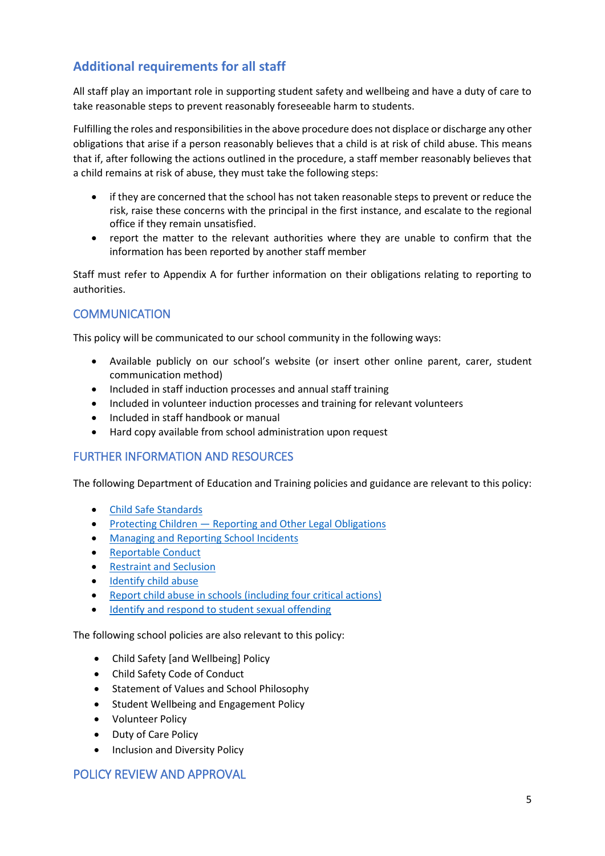# **Additional requirements for all staff**

All staff play an important role in supporting student safety and wellbeing and have a duty of care to take reasonable steps to prevent reasonably foreseeable harm to students.

Fulfilling the roles and responsibilities in the above procedure does not displace or discharge any other obligations that arise if a person reasonably believes that a child is at risk of child abuse. This means that if, after following the actions outlined in the procedure, a staff member reasonably believes that a child remains at risk of abuse, they must take the following steps:

- if they are concerned that the school has not taken reasonable steps to prevent or reduce the risk, raise these concerns with the principal in the first instance, and escalate to the regional office if they remain unsatisfied.
- report the matter to the relevant authorities where they are unable to confirm that the information has been reported by another staff member

Staff must refer to Appendix A for further information on their obligations relating to reporting to authorities.

### **COMMUNICATION**

This policy will be communicated to our school community in the following ways:

- Available publicly on our school's website (or insert other online parent, carer, student communication method)
- Included in staff induction processes and annual staff training
- Included in volunteer induction processes and training for relevant volunteers
- Included in staff handbook or manual
- Hard copy available from school administration upon request

### FURTHER INFORMATION AND RESOURCES

The following Department of Education and Training policies and guidance are relevant to this policy:

- [Child Safe Standards](https://www2.education.vic.gov.au/pal/child-safe-standards/policy)
- Protecting Children [Reporting and Other Legal Obligations](https://www2.education.vic.gov.au/pal/protecting-children/policy)
- [Managing and Reporting School Incidents](https://www2.education.vic.gov.au/pal/reporting-and-managing-school-incidents-including-emergencies/policy)
- [Reportable Conduct](https://www2.education.vic.gov.au/pal/reportable-conduct-scheme/policy)
- **•** [Restraint and Seclusion](https://www2.education.vic.gov.au/pal/restraint-seclusion/policy)
- **[Identify child abuse](https://www.education.vic.gov.au/school/teachers/health/childprotection/Pages/identify.aspx)**
- [Report child abuse in schools \(including four critical actions\)](https://www.education.vic.gov.au/school/teachers/health/childprotection/Pages/report.aspx)
- [Identify and respond to student sexual offending](https://www.education.vic.gov.au/school/teachers/health/childprotection/Pages/stusexual.aspx)

The following school policies are also relevant to this policy:

- Child Safety [and Wellbeing] Policy
- Child Safety Code of Conduct
- **•** Statement of Values and School Philosophy
- **•** Student Wellbeing and Engagement Policy
- Volunteer Policy
- Duty of Care Policy
- Inclusion and Diversity Policy

### POLICY REVIEW AND APPROVAL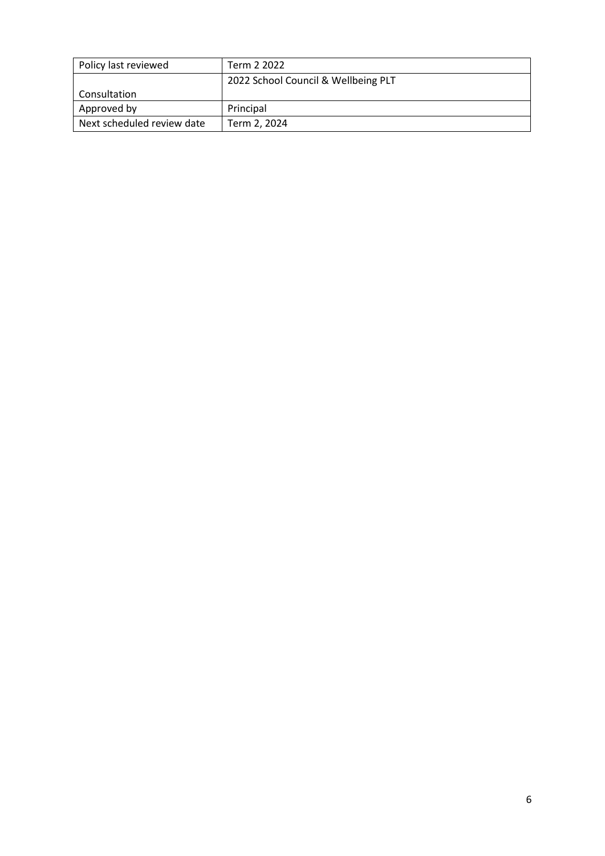| Policy last reviewed       | Term 2 2022                         |
|----------------------------|-------------------------------------|
|                            | 2022 School Council & Wellbeing PLT |
| Consultation               |                                     |
| Approved by                | Principal                           |
| Next scheduled review date | Term 2, 2024                        |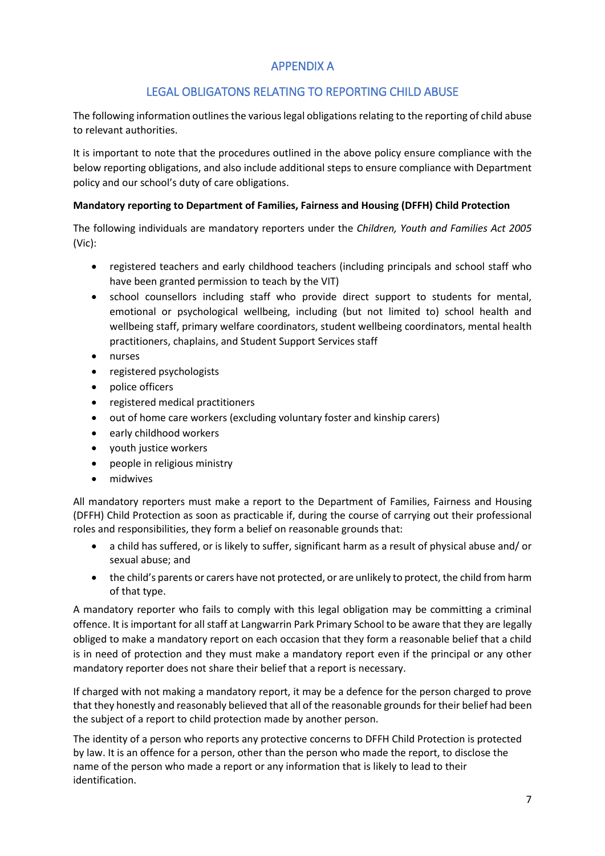# APPENDIX A

# LEGAL OBLIGATONS RELATING TO REPORTING CHILD ABUSE

The following information outlines the various legal obligations relating to the reporting of child abuse to relevant authorities.

It is important to note that the procedures outlined in the above policy ensure compliance with the below reporting obligations, and also include additional steps to ensure compliance with Department policy and our school's duty of care obligations.

### **Mandatory reporting to Department of Families, Fairness and Housing (DFFH) Child Protection**

The following individuals are mandatory reporters under the *Children, Youth and Families Act 2005* (Vic):

- registered teachers and early childhood teachers (including principals and school staff who have been granted permission to teach by the VIT)
- school counsellors including staff who provide direct support to students for mental, emotional or psychological wellbeing, including (but not limited to) school health and wellbeing staff, primary welfare coordinators, student wellbeing coordinators, mental health practitioners, chaplains, and Student Support Services staff
- nurses
- registered psychologists
- police officers
- registered medical practitioners
- out of home care workers (excluding voluntary foster and kinship carers)
- early childhood workers
- youth justice workers
- people in religious ministry
- midwives

All mandatory reporters must make a report to the Department of Families, Fairness and Housing (DFFH) Child Protection as soon as practicable if, during the course of carrying out their professional roles and responsibilities, they form a belief on reasonable grounds that:

- a child has suffered, or is likely to suffer, significant harm as a result of physical abuse and/ or sexual abuse; and
- the child's parents or carers have not protected, or are unlikely to protect, the child from harm of that type.

A mandatory reporter who fails to comply with this legal obligation may be committing a criminal offence. It is important for all staff at Langwarrin Park Primary School to be aware that they are legally obliged to make a mandatory report on each occasion that they form a reasonable belief that a child is in need of protection and they must make a mandatory report even if the principal or any other mandatory reporter does not share their belief that a report is necessary.

If charged with not making a mandatory report, it may be a defence for the person charged to prove that they honestly and reasonably believed that all of the reasonable grounds for their belief had been the subject of a report to child protection made by another person.

The identity of a person who reports any protective concerns to DFFH Child Protection is protected by law. It is an offence for a person, other than the person who made the report, to disclose the name of the person who made a report or any information that is likely to lead to their identification.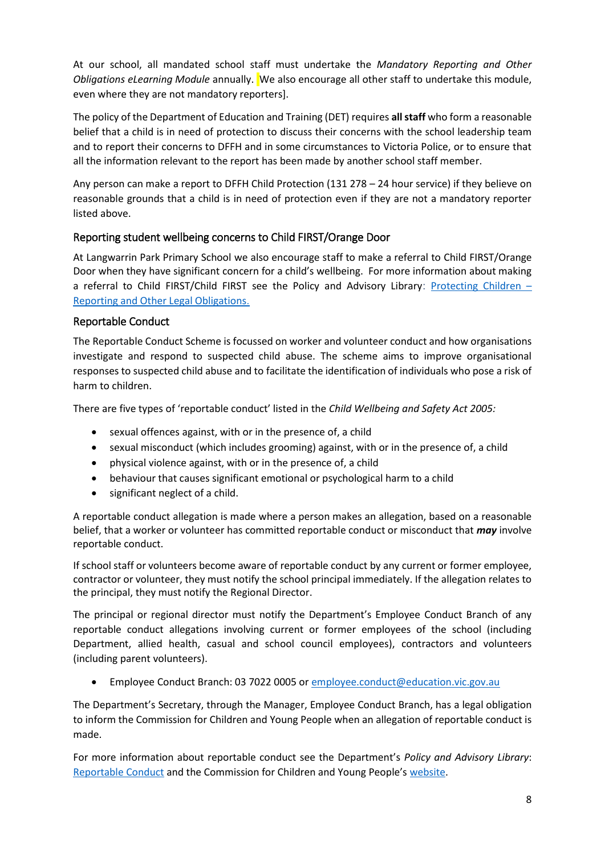At our school, all mandated school staff must undertake the *Mandatory Reporting and Other Obligations eLearning Module* annually. We also encourage all other staff to undertake this module, even where they are not mandatory reporters].

The policy of the Department of Education and Training (DET) requires **all staff** who form a reasonable belief that a child is in need of protection to discuss their concerns with the school leadership team and to report their concerns to DFFH and in some circumstances to Victoria Police, or to ensure that all the information relevant to the report has been made by another school staff member.

Any person can make a report to DFFH Child Protection (131 278 – 24 hour service) if they believe on reasonable grounds that a child is in need of protection even if they are not a mandatory reporter listed above.

### Reporting student wellbeing concerns to Child FIRST/Orange Door

At Langwarrin Park Primary School we also encourage staff to make a referral to Child FIRST/Orange Door when they have significant concern for a child's wellbeing. For more information about making a referral to Child FIRST/Child FIRST see the Policy and Advisory Library: [Protecting Children](https://www2.education.vic.gov.au/pal/protecting-children/policy) – [Reporting and Other Legal Obligations](https://www2.education.vic.gov.au/pal/protecting-children/policy).

### Reportable Conduct

The Reportable Conduct Scheme is focussed on worker and volunteer conduct and how organisations investigate and respond to suspected child abuse. The scheme aims to improve organisational responses to suspected child abuse and to facilitate the identification of individuals who pose a risk of harm to children.

There are five types of 'reportable conduct' listed in the *Child Wellbeing and Safety Act 2005:*

- sexual offences against, with or in the presence of, a child
- sexual misconduct (which includes grooming) against, with or in the presence of, a child
- physical violence against, with or in the presence of, a child
- behaviour that causes significant emotional or psychological harm to a child
- significant neglect of a child.

A reportable conduct allegation is made where a person makes an allegation, based on a reasonable belief, that a worker or volunteer has committed reportable conduct or misconduct that *may* involve reportable conduct.

If school staff or volunteers become aware of reportable conduct by any current or former employee, contractor or volunteer, they must notify the school principal immediately. If the allegation relates to the principal, they must notify the Regional Director.

The principal or regional director must notify the Department's Employee Conduct Branch of any reportable conduct allegations involving current or former employees of the school (including Department, allied health, casual and school council employees), contractors and volunteers (including parent volunteers).

Employee Conduct Branch: 03 7022 0005 o[r employee.conduct@education.vic.gov.au](mailto:employee.conduct@education.vic.gov.au)

The Department's Secretary, through the Manager, Employee Conduct Branch, has a legal obligation to inform the Commission for Children and Young People when an allegation of reportable conduct is made.

For more information about reportable conduct see the Department's *Policy and Advisory Library*: [Reportable Conduct](https://www2.education.vic.gov.au/pal/reportable-conduct-scheme/policy) and the Commission for Children and Young People's [website.](https://ccyp.vic.gov.au/reportable-conduct-scheme/)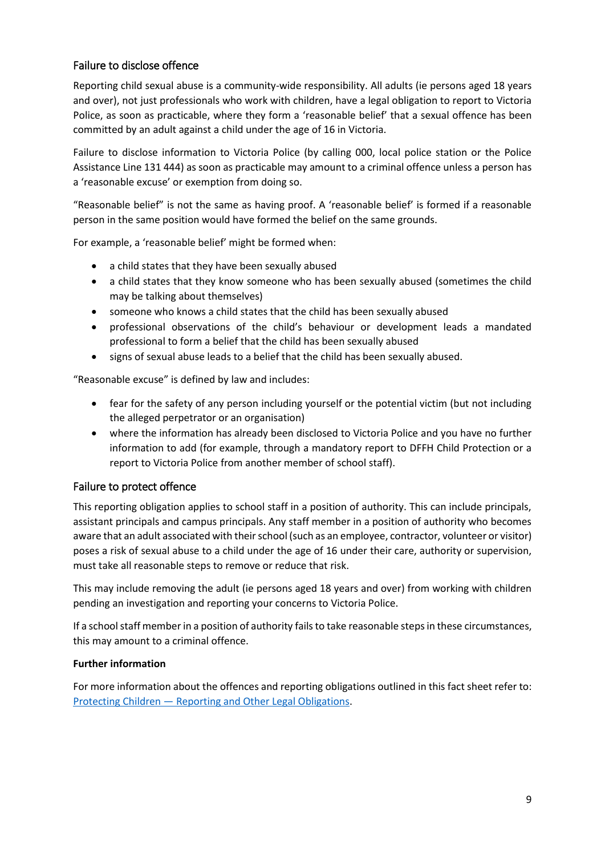### Failure to disclose offence

Reporting child sexual abuse is a community-wide responsibility. All adults (ie persons aged 18 years and over), not just professionals who work with children, have a legal obligation to report to Victoria Police, as soon as practicable, where they form a 'reasonable belief' that a sexual offence has been committed by an adult against a child under the age of 16 in Victoria.

Failure to disclose information to Victoria Police (by calling 000, local police station or the Police Assistance Line 131 444) as soon as practicable may amount to a criminal offence unless a person has a 'reasonable excuse' or exemption from doing so.

"Reasonable belief" is not the same as having proof. A 'reasonable belief' is formed if a reasonable person in the same position would have formed the belief on the same grounds.

For example, a 'reasonable belief' might be formed when:

- a child states that they have been sexually abused
- a child states that they know someone who has been sexually abused (sometimes the child may be talking about themselves)
- someone who knows a child states that the child has been sexually abused
- professional observations of the child's behaviour or development leads a mandated professional to form a belief that the child has been sexually abused
- signs of sexual abuse leads to a belief that the child has been sexually abused.

"Reasonable excuse" is defined by law and includes:

- fear for the safety of any person including yourself or the potential victim (but not including the alleged perpetrator or an organisation)
- where the information has already been disclosed to Victoria Police and you have no further information to add (for example, through a mandatory report to DFFH Child Protection or a report to Victoria Police from another member of school staff).

### Failure to protect offence

This reporting obligation applies to school staff in a position of authority. This can include principals, assistant principals and campus principals. Any staff member in a position of authority who becomes aware that an adult associated with their school (such as an employee, contractor, volunteer or visitor) poses a risk of sexual abuse to a child under the age of 16 under their care, authority or supervision, must take all reasonable steps to remove or reduce that risk.

This may include removing the adult (ie persons aged 18 years and over) from working with children pending an investigation and reporting your concerns to Victoria Police.

If a school staff member in a position of authority fails to take reasonable steps in these circumstances, this may amount to a criminal offence.

### **Further information**

For more information about the offences and reporting obligations outlined in this fact sheet refer to: Protecting Children — [Reporting and Other Legal Obligations.](https://www2.education.vic.gov.au/pal/protecting-children/policy)